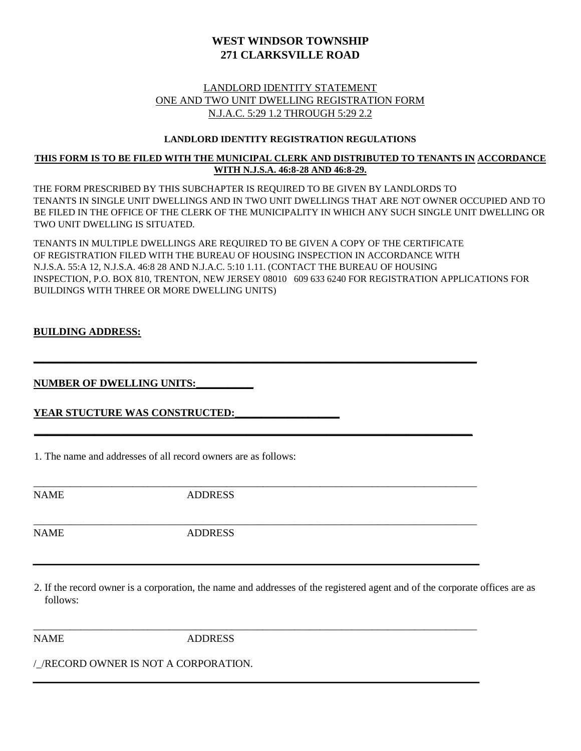# **WEST WINDSOR TOWNSHIP 271 CLARKSVILLE ROAD**

## LANDLORD IDENTITY STATEMENT ONE AND TWO UNIT DWELLING REGISTRATION FORM N.J.A.C. 5:29 1.2 THROUGH 5:29 2.2

#### **LANDLORD IDENTITY REGISTRATION REGULATIONS**

### **THIS FORM IS TO BE FILED WITH THE MUNICIPAL CLERK AND DISTRIBUTED TO TENANTS IN ACCORDANCE WITH N.J.S.A. 46:8-28 AND 46:8-29.**

THE FORM PRESCRIBED BY THIS SUBCHAPTER IS REQUIRED TO BE GIVEN BY LANDLORDS TO TENANTS IN SINGLE UNIT DWELLINGS AND IN TWO UNIT DWELLINGS THAT ARE NOT OWNER OCCUPIED AND TO BE FILED IN THE OFFICE OF THE CLERK OF THE MUNICIPALITY IN WHICH ANY SUCH SINGLE UNIT DWELLING OR TWO UNIT DWELLING IS SITUATED.

TENANTS IN MULTIPLE DWELLINGS ARE REQUIRED TO BE GIVEN A COPY OF THE CERTIFICATE OF REGISTRATION FILED WITH THE BUREAU OF HOUSING INSPECTION IN ACCORDANCE WITH N.J.S.A. 55:A 12, N.J.S.A. 46:8 28 AND N.J.A.C. 5:10 1.11. (CONTACT THE BUREAU OF HOUSING INSPECTION, P.O. BOX 810, TRENTON, NEW JERSEY 08010 609 633 6240 FOR REGISTRATION APPLICATIONS FOR BUILDINGS WITH THREE OR MORE DWELLING UNITS)

**\_\_\_\_\_\_\_\_\_\_\_\_\_\_\_\_\_\_\_\_\_\_\_\_\_\_\_\_\_\_\_\_\_\_\_\_\_\_\_\_\_\_\_\_\_\_\_\_\_\_\_\_\_\_\_\_\_\_\_\_\_\_\_\_\_\_\_\_\_\_\_\_\_\_\_\_\_\_\_\_\_\_\_\_\_**

**\_\_\_\_\_\_\_\_\_\_\_\_\_\_\_\_\_\_\_\_\_\_\_\_\_\_\_\_\_\_\_\_\_\_\_\_\_\_\_\_\_\_\_\_\_\_\_\_\_\_\_\_\_\_\_\_\_\_\_\_\_\_\_\_\_\_**

\_\_\_\_\_\_\_\_\_\_\_\_\_\_\_\_\_\_\_\_\_\_\_\_\_\_\_\_\_\_\_\_\_\_\_\_\_\_\_\_\_\_\_\_\_\_\_\_\_\_\_\_\_\_\_\_\_\_\_\_\_\_\_\_\_\_\_\_\_\_\_\_\_\_\_\_\_\_\_\_\_\_\_\_\_

\_\_\_\_\_\_\_\_\_\_\_\_\_\_\_\_\_\_\_\_\_\_\_\_\_\_\_\_\_\_\_\_\_\_\_\_\_\_\_\_\_\_\_\_\_\_\_\_\_\_\_\_\_\_\_\_\_\_\_\_\_\_\_\_\_\_\_\_\_\_\_\_\_\_\_\_\_\_\_\_\_\_\_\_\_

\_\_\_\_\_\_\_\_\_\_\_\_\_\_\_\_\_\_\_\_\_\_\_\_\_\_\_\_\_\_\_\_\_\_\_\_\_\_\_\_\_\_\_\_\_\_\_\_\_\_\_\_\_\_\_\_\_\_\_\_\_\_\_\_\_\_\_\_\_\_\_\_\_\_\_\_\_\_\_\_\_\_\_\_\_

#### **BUILDING ADDRESS:**

### **NUMBER OF DWELLING UNITS:\_\_\_\_\_\_\_\_\_\_\_**

### YEAR STUCTURE WAS CONSTRUCTED:

1. The name and addresses of all record owners are as follows:

NAME ADDRESS

NAME ADDRESS

2. If the record owner is a corporation, the name and addresses of the registered agent and of the corporate offices are as follows:

NAME ADDRESS

/\_/RECORD OWNER IS NOT A CORPORATION.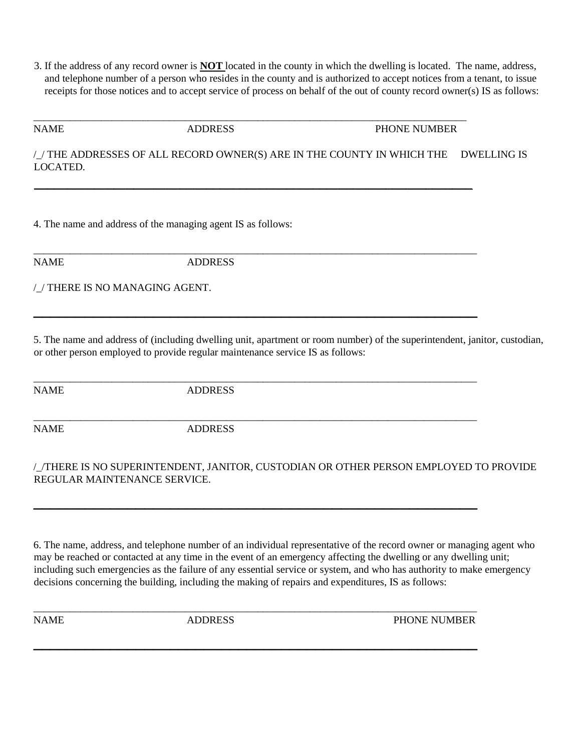3. If the address of any record owner is **NOT** located in the county in which the dwelling is located. The name, address, and telephone number of a person who resides in the county and is authorized to accept notices from a tenant, to issue receipts for those notices and to accept service of process on behalf of the out of county record owner(s) IS as follows:

NAME ADDRESS PHONE NUMBER

/\_/ THE ADDRESSES OF ALL RECORD OWNER(S) ARE IN THE COUNTY IN WHICH THE DWELLING IS LOCATED.

\_\_\_\_\_\_\_\_\_\_\_\_\_\_\_\_\_\_\_\_\_\_\_\_\_\_\_\_\_\_\_\_\_\_\_\_\_\_\_\_\_\_\_\_\_\_\_\_\_\_\_\_\_\_\_\_\_\_\_\_\_\_\_\_\_\_\_\_\_\_\_\_\_\_\_\_\_\_\_\_\_\_\_

\_\_\_\_\_\_\_\_\_\_\_\_\_\_\_\_\_\_\_\_\_\_\_\_\_\_\_\_\_\_\_\_\_\_\_\_\_\_\_\_\_\_\_\_\_\_\_\_\_\_\_\_\_\_\_\_\_\_\_\_\_\_\_\_\_\_

\_\_\_\_\_\_\_\_\_\_\_\_\_\_\_\_\_\_\_\_\_\_\_\_\_\_\_\_\_\_\_\_\_\_\_\_\_\_\_\_\_\_\_\_\_\_\_\_\_\_\_\_\_\_\_\_\_\_\_\_\_\_\_\_\_\_\_\_\_\_\_\_\_\_\_\_\_\_\_\_\_\_\_\_\_

**\_\_\_\_\_\_\_\_\_\_\_\_\_\_\_\_\_\_\_\_\_\_\_\_\_\_\_\_\_\_\_\_\_\_\_\_\_\_\_\_\_\_\_\_\_\_\_\_\_\_\_\_** 

\_\_\_\_\_\_\_\_\_\_\_\_\_\_\_\_\_\_\_\_\_\_\_\_\_\_\_\_\_\_\_\_\_\_\_\_\_\_\_\_\_\_\_\_\_\_\_\_\_\_\_\_\_\_\_\_\_\_\_\_\_\_\_\_\_\_\_\_\_\_\_\_\_\_\_\_\_\_\_\_\_\_\_\_\_

\_\_\_\_\_\_\_\_\_\_\_\_\_\_\_\_\_\_\_\_\_\_\_\_\_\_\_\_\_\_\_\_\_\_\_\_\_\_\_\_\_\_\_\_\_\_\_\_\_\_\_\_\_\_\_\_\_\_\_\_\_\_\_\_\_\_\_\_\_\_\_\_\_\_\_\_\_\_\_\_\_\_\_\_\_

**\_\_\_\_\_\_\_\_\_\_\_\_\_\_\_\_\_\_\_\_\_\_\_\_\_\_\_\_\_\_\_\_\_\_\_\_\_\_\_\_\_\_\_\_\_\_\_\_\_\_\_\_** 

\_\_\_\_\_\_\_\_\_\_\_\_\_\_\_\_\_\_\_\_\_\_\_\_\_\_\_\_\_\_\_\_\_\_\_\_\_\_\_\_\_\_\_\_\_\_\_\_\_\_\_\_\_\_\_\_\_\_\_\_\_\_\_\_\_\_\_\_\_\_\_\_\_\_\_\_\_\_\_\_\_\_\_\_\_

**\_\_\_\_\_\_\_\_\_\_\_\_\_\_\_\_\_\_\_\_\_\_\_\_\_\_\_\_\_\_\_\_\_\_\_\_\_\_\_\_\_\_\_\_\_\_\_\_\_\_\_\_** 

4. The name and address of the managing agent IS as follows:

NAME ADDRESS

/\_/ THERE IS NO MANAGING AGENT.

5. The name and address of (including dwelling unit, apartment or room number) of the superintendent, janitor, custodian, or other person employed to provide regular maintenance service IS as follows:

NAME ADDRESS

NAME ADDRESS

## /\_/THERE IS NO SUPERINTENDENT, JANITOR, CUSTODIAN OR OTHER PERSON EMPLOYED TO PROVIDE REGULAR MAINTENANCE SERVICE.

6. The name, address, and telephone number of an individual representative of the record owner or managing agent who may be reached or contacted at any time in the event of an emergency affecting the dwelling or any dwelling unit; including such emergencies as the failure of any essential service or system, and who has authority to make emergency decisions concerning the building, including the making of repairs and expenditures, IS as follows:

NAME ADDRESS PHONE NUMBER